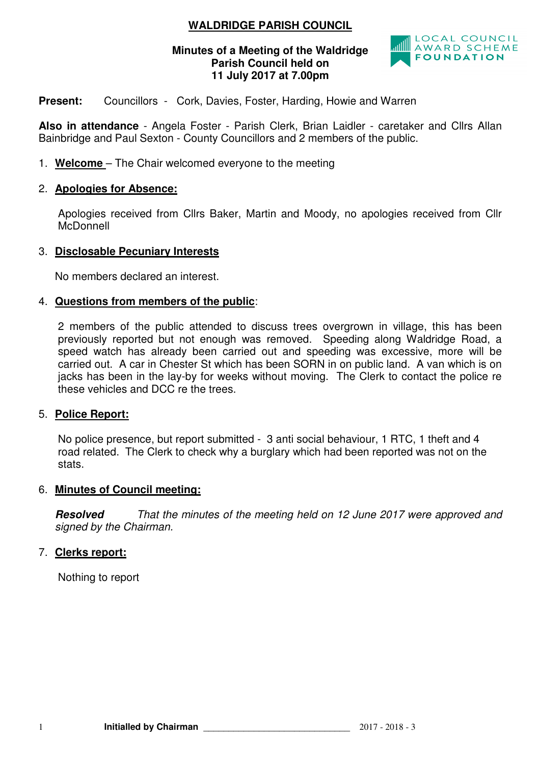## **WALDRIDGE PARISH COUNCIL**

#### **Minutes of a Meeting of the Waldridge Parish Council held on 11 July 2017 at 7.00pm**



**Present:** Councillors - Cork, Davies, Foster, Harding, Howie and Warren

**Also in attendance** - Angela Foster - Parish Clerk, Brian Laidler - caretaker and Cllrs Allan Bainbridge and Paul Sexton - County Councillors and 2 members of the public.

1. **Welcome** – The Chair welcomed everyone to the meeting

## 2. **Apologies for Absence:**

 Apologies received from Cllrs Baker, Martin and Moody, no apologies received from Cllr **McDonnell** 

## 3. **Disclosable Pecuniary Interests**

No members declared an interest.

## 4. **Questions from members of the public**:

2 members of the public attended to discuss trees overgrown in village, this has been previously reported but not enough was removed. Speeding along Waldridge Road, a speed watch has already been carried out and speeding was excessive, more will be carried out. A car in Chester St which has been SORN in on public land. A van which is on jacks has been in the lay-by for weeks without moving. The Clerk to contact the police re these vehicles and DCC re the trees.

#### 5. **Police Report:**

No police presence, but report submitted - 3 anti social behaviour, 1 RTC, 1 theft and 4 road related. The Clerk to check why a burglary which had been reported was not on the stats.

#### 6. **Minutes of Council meeting:**

**Resolved** That the minutes of the meeting held on 12 June 2017 were approved and signed by the Chairman.

## 7. **Clerks report:**

Nothing to report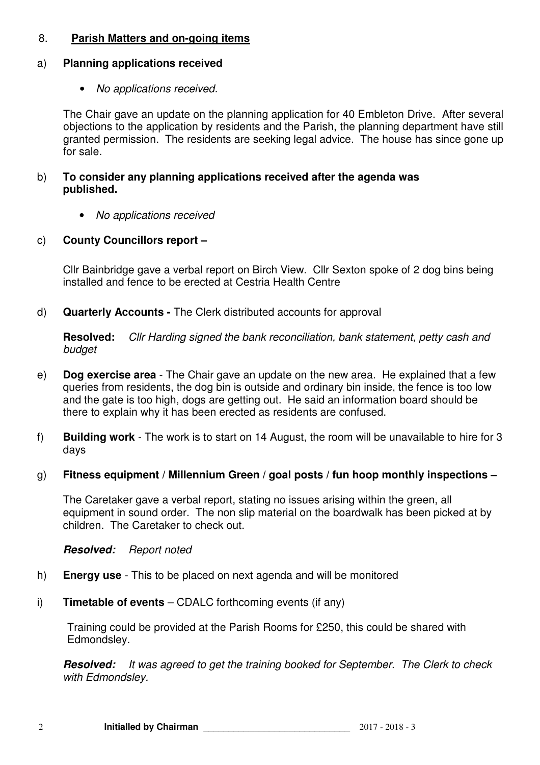## 8. **Parish Matters and on-going items**

## a) **Planning applications received**

• No applications received.

The Chair gave an update on the planning application for 40 Embleton Drive. After several objections to the application by residents and the Parish, the planning department have still granted permission. The residents are seeking legal advice. The house has since gone up for sale.

### b) **To consider any planning applications received after the agenda was published.**

• No applications received

## c) **County Councillors report –**

Cllr Bainbridge gave a verbal report on Birch View. Cllr Sexton spoke of 2 dog bins being installed and fence to be erected at Cestria Health Centre

d) **Quarterly Accounts -** The Clerk distributed accounts for approval

**Resolved:** Cllr Harding signed the bank reconciliation, bank statement, petty cash and budget

- e) **Dog exercise area**  The Chair gave an update on the new area. He explained that a few queries from residents, the dog bin is outside and ordinary bin inside, the fence is too low and the gate is too high, dogs are getting out. He said an information board should be there to explain why it has been erected as residents are confused.
- f) **Building work**  The work is to start on 14 August, the room will be unavailable to hire for 3 days
- g) **Fitness equipment / Millennium Green / goal posts / fun hoop monthly inspections**

The Caretaker gave a verbal report, stating no issues arising within the green, all equipment in sound order. The non slip material on the boardwalk has been picked at by children. The Caretaker to check out.

**Resolved:** Report noted

- h) **Energy use**  This to be placed on next agenda and will be monitored
- i) **Timetable of events** CDALC forthcoming events (if any)

Training could be provided at the Parish Rooms for £250, this could be shared with Edmondsley.

**Resolved:** It was agreed to get the training booked for September. The Clerk to check with Edmondsley.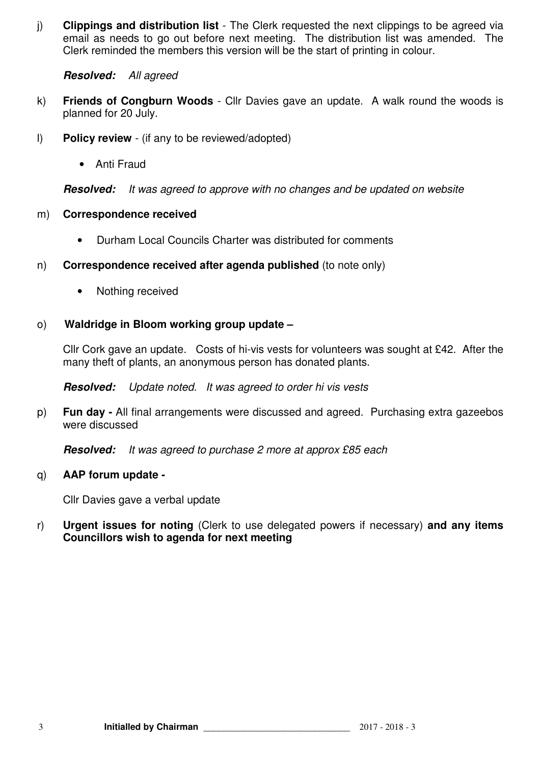j) **Clippings and distribution list** - The Clerk requested the next clippings to be agreed via email as needs to go out before next meeting. The distribution list was amended. The Clerk reminded the members this version will be the start of printing in colour.

#### **Resolved:** All agreed

- k) **Friends of Congburn Woods**  Cllr Davies gave an update. A walk round the woods is planned for 20 July.
- l) **Policy review**  (if any to be reviewed/adopted)
	- Anti Fraud

**Resolved:** It was agreed to approve with no changes and be updated on website

#### m) **Correspondence received**

- Durham Local Councils Charter was distributed for comments
- n) **Correspondence received after agenda published** (to note only)
	- Nothing received

## o) **Waldridge in Bloom working group update –**

Cllr Cork gave an update. Costs of hi-vis vests for volunteers was sought at £42. After the many theft of plants, an anonymous person has donated plants.

**Resolved:** Update noted. It was agreed to order hi vis vests

p) **Fun day -** All final arrangements were discussed and agreed. Purchasing extra gazeebos were discussed

**Resolved:** It was agreed to purchase 2 more at approx £85 each

#### q) **AAP forum update -**

Cllr Davies gave a verbal update

r) **Urgent issues for noting** (Clerk to use delegated powers if necessary) **and any items Councillors wish to agenda for next meeting**